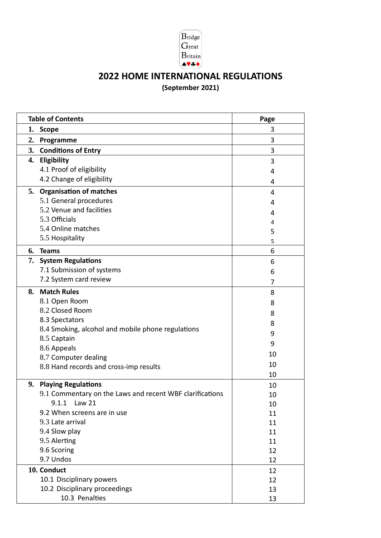

# **2022 HOME INTERNATIONAL REGULATIONS (September 2021)**

|    | <b>Table of Contents</b>                                 | Page |
|----|----------------------------------------------------------|------|
| 1. | <b>Scope</b>                                             | 3    |
| 2. | Programme                                                | 3    |
| 3. | <b>Conditions of Entry</b>                               | 3    |
| 4. | Eligibility                                              | 3    |
|    | 4.1 Proof of eligibility                                 | 4    |
|    | 4.2 Change of eligibility                                | 4    |
| 5. | <b>Organisation of matches</b>                           | 4    |
|    | 5.1 General procedures                                   | 4    |
|    | 5.2 Venue and facilities                                 | 4    |
|    | 5.3 Officials                                            | 4    |
|    | 5.4 Online matches                                       | 5    |
|    | 5.5 Hospitality                                          | 5    |
| 6. | <b>Teams</b>                                             | 6    |
| 7. | <b>System Regulations</b>                                | 6    |
|    | 7.1 Submission of systems                                | 6    |
|    | 7.2 System card review                                   | 7    |
| 8. | <b>Match Rules</b>                                       | 8    |
|    | 8.1 Open Room                                            | 8    |
|    | 8.2 Closed Room                                          | 8    |
|    | 8.3 Spectators                                           | 8    |
|    | 8.4 Smoking, alcohol and mobile phone regulations        | 9    |
|    | 8.5 Captain                                              | 9    |
|    | 8.6 Appeals                                              | 10   |
|    | 8.7 Computer dealing                                     | 10   |
|    | 8.8 Hand records and cross-imp results                   | 10   |
| 9. | <b>Playing Regulations</b>                               | 10   |
|    | 9.1 Commentary on the Laws and recent WBF clarifications | 10   |
|    | 9.1.1 Law 21                                             | 10   |
|    | 9.2 When screens are in use                              | 11   |
|    | 9.3 Late arrival                                         | 11   |
|    | 9.4 Slow play                                            | 11   |
|    | 9.5 Alerting                                             | 11   |
|    | 9.6 Scoring                                              | 12   |
|    | 9.7 Undos                                                | 12   |
|    | 10. Conduct                                              | 12   |
|    | 10.1 Disciplinary powers                                 | 12   |
|    | 10.2 Disciplinary proceedings                            | 13   |
|    | 10.3 Penalties                                           | 13   |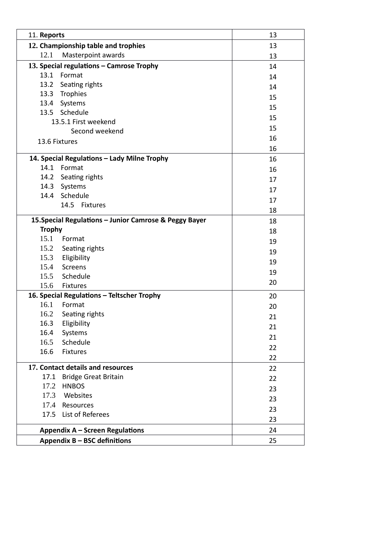| 11. Reports                                            | 13 |
|--------------------------------------------------------|----|
| 12. Championship table and trophies                    | 13 |
| 12.1<br>Masterpoint awards                             | 13 |
| 13. Special regulations - Camrose Trophy               | 14 |
| 13.1<br>Format                                         | 14 |
| 13.2 Seating rights                                    | 14 |
| 13.3 Trophies                                          | 15 |
| 13.4 Systems                                           | 15 |
| 13.5 Schedule                                          | 15 |
| 13.5.1 First weekend                                   | 15 |
| Second weekend                                         | 16 |
| 13.6 Fixtures                                          | 16 |
| 14. Special Regulations - Lady Milne Trophy            |    |
| Format<br>14.1                                         | 16 |
| 14.2 Seating rights                                    | 16 |
| 14.3 Systems                                           | 17 |
| Schedule<br>14.4                                       | 17 |
| 14.5 Fixtures                                          | 17 |
|                                                        | 18 |
| 15. Special Regulations - Junior Camrose & Peggy Bayer | 18 |
| <b>Trophy</b>                                          | 18 |
| 15.1<br>Format                                         | 19 |
| 15.2 Seating rights                                    | 19 |
| 15.3 Eligibility                                       | 19 |
| Screens<br>15.4                                        | 19 |
| 15.5 Schedule<br>15.6<br><b>Fixtures</b>               | 20 |
| 16. Special Regulations - Teltscher Trophy             |    |
| 16.1<br>Format                                         | 20 |
| 16.2 Seating rights                                    | 20 |
| Eligibility<br>16.3                                    | 21 |
| Systems<br>16.4                                        | 21 |
| Schedule<br>16.5                                       | 21 |
| 16.6<br><b>Fixtures</b>                                | 22 |
|                                                        | 22 |
| 17. Contact details and resources                      | 22 |
| 17.1<br><b>Bridge Great Britain</b>                    | 22 |
| <b>HNBOS</b><br>17.2                                   | 23 |
| 17.3<br>Websites                                       | 23 |
| 17.4<br>Resources                                      | 23 |
| List of Referees<br>17.5                               | 23 |
| Appendix A - Screen Regulations                        | 24 |
| Appendix B - BSC definitions                           | 25 |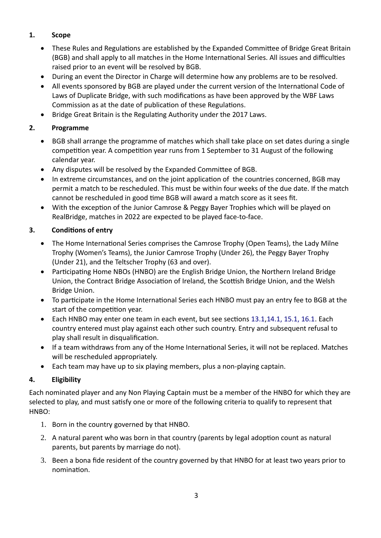# **1. Scope**

- These Rules and Regulations are established by the Expanded Committee of Bridge Great Britain (BGB) and shall apply to all matches in the Home International Series. All issues and difficulties raised prior to an event will be resolved by BGB.
- During an event the Director in Charge will determine how any problems are to be resolved.
- All events sponsored by BGB are played under the current version of the International Code of Laws of Duplicate Bridge, with such modifications as have been approved by the WBF Laws Commission as at the date of publication of these Regulations.
- Bridge Great Britain is the Regulating Authority under the 2017 Laws.

# **2. Programme**

- BGB shall arrange the programme of matches which shall take place on set dates during a single competition year. A competition year runs from 1 September to 31 August of the following calendar year.
- Any disputes will be resolved by the Expanded Committee of BGB.
- In extreme circumstances, and on the joint application of the countries concerned, BGB may permit a match to be rescheduled. This must be within four weeks of the due date. If the match cannot be rescheduled in good time BGB will award a match score as it sees fit.
- With the exception of the Junior Camrose & Peggy Bayer Trophies which will be played on RealBridge, matches in 2022 are expected to be played face-to-face.

# **3. Conditions of entry**

- The Home International Series comprises the Camrose Trophy (Open Teams), the Lady Milne Trophy (Women's Teams), the Junior Camrose Trophy (Under 26), the Peggy Bayer Trophy (Under 21), and the Teltscher Trophy (63 and over).
- Participating Home NBOs (HNBO) are the English Bridge Union, the Northern Ireland Bridge Union, the Contract Bridge Association of Ireland, the Scottish Bridge Union, and the Welsh Bridge Union.
- To participate in the Home International Series each HNBO must pay an entry fee to BGB at the start of the competition year.
- Each HNBO may enter one team in each event, but see sections 13.1,14.1, 15.1, 16.1. Each country entered must play against each other such country. Entry and subsequent refusal to play shall result in disqualification.
- If a team withdraws from any of the Home International Series, it will not be replaced. Matches will be rescheduled appropriately.
- Each team may have up to six playing members, plus a non-playing captain.

# **4. Eligibility**

Each nominated player and any Non Playing Captain must be a member of the HNBO for which they are selected to play, and must satisfy one or more of the following criteria to qualify to represent that HNBO:

- 1. Born in the country governed by that HNBO.
- 2. A natural parent who was born in that country (parents by legal adoption count as natural parents, but parents by marriage do not).
- 3. Been a bona fide resident of the country governed by that HNBO for at least two years prior to nomination.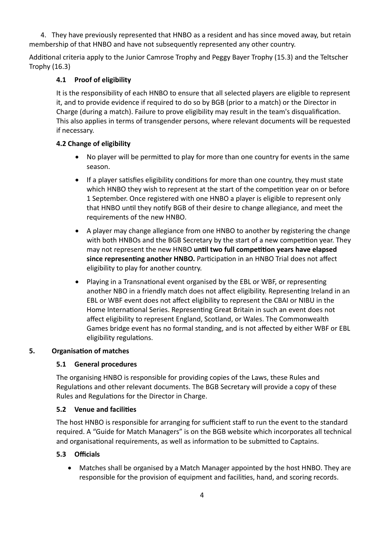4. They have previously represented that HNBO as a resident and has since moved away, but retain membership of that HNBO and have not subsequently represented any other country.

Additional criteria apply to the Junior Camrose Trophy and Peggy Bayer Trophy (15.3) and the Teltscher Trophy (16.3)

## **4.1 Proof of eligibility**

It is the responsibility of each HNBO to ensure that all selected players are eligible to represent it, and to provide evidence if required to do so by BGB (prior to a match) or the Director in Charge (during a match). Failure to prove eligibility may result in the team's disqualification. This also applies in terms of transgender persons, where relevant documents will be requested if necessary.

# **4.2 Change of eligibility**

- No player will be permitted to play for more than one country for events in the same season.
- If a player satisfies eligibility conditions for more than one country, they must state which HNBO they wish to represent at the start of the competition year on or before 1 September. Once registered with one HNBO a player is eligible to represent only that HNBO until they notify BGB of their desire to change allegiance, and meet the requirements of the new HNBO.
- A player may change allegiance from one HNBO to another by registering the change with both HNBOs and the BGB Secretary by the start of a new competition year. They may not represent the new HNBO **until two full competition years have elapsed since representing another HNBO.** Participation in an HNBO Trial does not affect eligibility to play for another country.
- Playing in a Transnational event organised by the EBL or WBF, or representing another NBO in a friendly match does not affect eligibility. Representing Ireland in an EBL or WBF event does not affect eligibility to represent the CBAI or NIBU in the Home International Series. Representing Great Britain in such an event does not affect eligibility to represent England, Scotland, or Wales. The Commonwealth Games bridge event has no formal standing, and is not affected by either WBF or EBL eligibility regulations.

## **5. Organisation of matches**

## **5.1 General procedures**

The organising HNBO is responsible for providing copies of the Laws, these Rules and Regulations and other relevant documents. The BGB Secretary will provide a copy of these Rules and Regulations for the Director in Charge.

## **5.2 Venue and facilities**

The host HNBO is responsible for arranging for sufficient staff to run the event to the standard required. A "Guide for Match Managers" is on the BGB website which incorporates all technical and organisational requirements, as well as information to be submitted to Captains.

## **5.3 Officials**

 Matches shall be organised by a Match Manager appointed by the host HNBO. They are responsible for the provision of equipment and facilities, hand, and scoring records.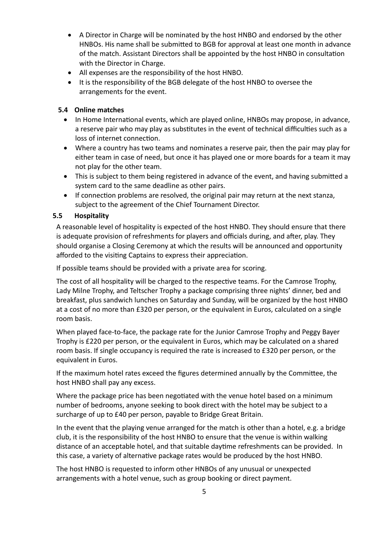- A Director in Charge will be nominated by the host HNBO and endorsed by the other HNBOs. His name shall be submitted to BGB for approval at least one month in advance of the match. Assistant Directors shall be appointed by the host HNBO in consultation with the Director in Charge.
- All expenses are the responsibility of the host HNBO.
- It is the responsibility of the BGB delegate of the host HNBO to oversee the arrangements for the event.

#### **5.4 Online matches**

- In Home International events, which are played online, HNBOs may propose, in advance, a reserve pair who may play as substitutes in the event of technical difficulties such as a loss of internet connection.
- Where a country has two teams and nominates a reserve pair, then the pair may play for either team in case of need, but once it has played one or more boards for a team it may not play for the other team.
- This is subject to them being registered in advance of the event, and having submitted a system card to the same deadline as other pairs.
- If connection problems are resolved, the original pair may return at the next stanza, subject to the agreement of the Chief Tournament Director.

#### **5.5 Hospitality**

A reasonable level of hospitality is expected of the host HNBO. They should ensure that there is adequate provision of refreshments for players and officials during, and after, play. They should organise a Closing Ceremony at which the results will be announced and opportunity afforded to the visiting Captains to express their appreciation.

If possible teams should be provided with a private area for scoring.

The cost of all hospitality will be charged to the respective teams. For the Camrose Trophy, Lady Milne Trophy, and Teltscher Trophy a package comprising three nights' dinner, bed and breakfast, plus sandwich lunches on Saturday and Sunday, will be organized by the host HNBO at a cost of no more than £320 per person, or the equivalent in Euros, calculated on a single room basis.

When played face-to-face, the package rate for the Junior Camrose Trophy and Peggy Bayer Trophy is £220 per person, or the equivalent in Euros, which may be calculated on a shared room basis. If single occupancy is required the rate is increased to £320 per person, or the equivalent in Euros.

If the maximum hotel rates exceed the figures determined annually by the Committee, the host HNBO shall pay any excess.

Where the package price has been negotiated with the venue hotel based on a minimum number of bedrooms, anyone seeking to book direct with the hotel may be subject to a surcharge of up to £40 per person, payable to Bridge Great Britain.

In the event that the playing venue arranged for the match is other than a hotel, e.g. a bridge club, it is the responsibility of the host HNBO to ensure that the venue is within walking distance of an acceptable hotel, and that suitable daytime refreshments can be provided. In this case, a variety of alternative package rates would be produced by the host HNBO.

The host HNBO is requested to inform other HNBOs of any unusual or unexpected arrangements with a hotel venue, such as group booking or direct payment.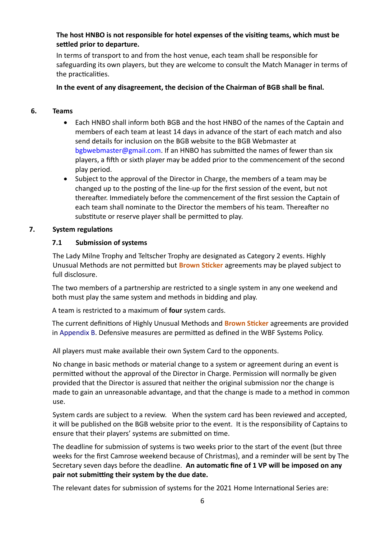## **The host HNBO is not responsible for hotel expenses of the visiting teams, which must be settled prior to departure.**

In terms of transport to and from the host venue, each team shall be responsible for safeguarding its own players, but they are welcome to consult the Match Manager in terms of the practicalities.

## **In the event of any disagreement, the decision of the Chairman of BGB shall be final.**

#### **6. Teams**

- Each HNBO shall inform both BGB and the host HNBO of the names of the Captain and members of each team at least 14 days in advance of the start of each match and also send details for inclusion on the BGB website to the BGB Webmaster at bgbwebmaster@gmail.com. If an HNBO has submitted the names of fewer than six players, a fifth or sixth player may be added prior to the commencement of the second play period.
- Subject to the approval of the Director in Charge, the members of a team may be changed up to the posting of the line-up for the first session of the event, but not thereafter. Immediately before the commencement of the first session the Captain of each team shall nominate to the Director the members of his team. Thereafter no substitute or reserve player shall be permitted to play.

## **7. System regulations**

## **7.1 Submission of systems**

The Lady Milne Trophy and Teltscher Trophy are designated as Category 2 events. Highly Unusual Methods are not permitted but **Brown Sticker** agreements may be played subject to full disclosure.

The two members of a partnership are restricted to a single system in any one weekend and both must play the same system and methods in bidding and play.

A team is restricted to a maximum of **four** system cards.

The current definitions of Highly Unusual Methods and **Brown Sticker** agreements are provided in Appendix B. Defensive measures are permitted as defined in the WBF Systems Policy.

All players must make available their own System Card to the opponents.

No change in basic methods or material change to a system or agreement during an event is permitted without the approval of the Director in Charge. Permission will normally be given provided that the Director is assured that neither the original submission nor the change is made to gain an unreasonable advantage, and that the change is made to a method in common use.

System cards are subject to a review. When the system card has been reviewed and accepted, it will be published on the BGB website prior to the event. It is the responsibility of Captains to ensure that their players' systems are submitted on time.

The deadline for submission of systems is two weeks prior to the start of the event (but three weeks for the first Camrose weekend because of Christmas), and a reminder will be sent by The Secretary seven days before the deadline. **An automatic fine of 1 VP will be imposed on any pair not submitting their system by the due date.** 

The relevant dates for submission of systems for the 2021 Home International Series are: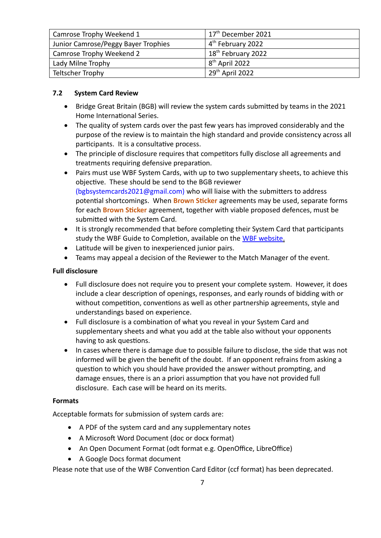| Camrose Trophy Weekend 1            | 17 <sup>th</sup> December 2021 |  |
|-------------------------------------|--------------------------------|--|
| Junior Camrose/Peggy Bayer Trophies | 4 <sup>th</sup> February 2022  |  |
| Camrose Trophy Weekend 2            | 18 <sup>th</sup> February 2022 |  |
| Lady Milne Trophy                   | 8 <sup>th</sup> April 2022     |  |
| Teltscher Trophy                    | 29th April 2022                |  |

#### **7.2 System Card Review**

- Bridge Great Britain (BGB) will review the system cards submitted by teams in the 2021 Home International Series.
- The quality of system cards over the past few years has improved considerably and the purpose of the review is to maintain the high standard and provide consistency across all participants. It is a consultative process.
- The principle of disclosure requires that competitors fully disclose all agreements and treatments requiring defensive preparation.
- Pairs must use WBF System Cards, with up to two supplementary sheets, to achieve this objective. These should be send to the BGB reviewer (bgbsystemcards2021@gmail.com) who will liaise with the submitters to address potential shortcomings. When **Brown Sticker** agreements may be used, separate forms for each **Brown Sticker** agreement, together with viable proposed defences, must be submitted with the System Card.
- It is strongly recommended that before completing their System Card that participants study the WBF Guide to Completion, available on the WBF website.
- Latitude will be given to inexperienced junior pairs.
- Teams may appeal a decision of the Reviewer to the Match Manager of the event.

#### **Full disclosure**

- Full disclosure does not require you to present your complete system. However, it does include a clear description of openings, responses, and early rounds of bidding with or without competition, conventions as well as other partnership agreements, style and understandings based on experience.
- Full disclosure is a combination of what you reveal in your System Card and supplementary sheets and what you add at the table also without your opponents having to ask questions.
- In cases where there is damage due to possible failure to disclose, the side that was not informed will be given the benefit of the doubt. If an opponent refrains from asking a question to which you should have provided the answer without prompting, and damage ensues, there is an a priori assumption that you have not provided full disclosure. Each case will be heard on its merits.

#### **Formats**

Acceptable formats for submission of system cards are:

- A PDF of the system card and any supplementary notes
- A Microsoft Word Document (doc or docx format)
- An Open Document Format (odt format e.g. OpenOffice, LibreOffice)
- A Google Docs format document

Please note that use of the WBF Convention Card Editor (ccf format) has been deprecated.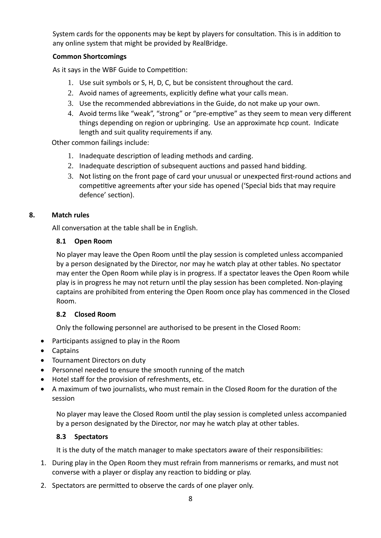System cards for the opponents may be kept by players for consultation. This is in addition to any online system that might be provided by RealBridge.

## **Common Shortcomings**

As it says in the WBF Guide to Competition:

- 1. Use suit symbols or S, H, D, C, but be consistent throughout the card.
- 2. Avoid names of agreements, explicitly define what your calls mean.
- 3. Use the recommended abbreviations in the Guide, do not make up your own.
- 4. Avoid terms like "weak", "strong" or "pre-emptive" as they seem to mean very different things depending on region or upbringing. Use an approximate hcp count. Indicate length and suit quality requirements if any.

Other common failings include:

- 1. Inadequate description of leading methods and carding.
- 2. Inadequate description of subsequent auctions and passed hand bidding.
- 3. Not listing on the front page of card your unusual or unexpected first-round actions and competitive agreements after your side has opened ('Special bids that may require defence' section).

#### **8. Match rules**

All conversation at the table shall be in English.

#### **8.1 Open Room**

No player may leave the Open Room until the play session is completed unless accompanied by a person designated by the Director, nor may he watch play at other tables. No spectator may enter the Open Room while play is in progress. If a spectator leaves the Open Room while play is in progress he may not return until the play session has been completed. Non-playing captains are prohibited from entering the Open Room once play has commenced in the Closed Room.

#### **8.2 Closed Room**

Only the following personnel are authorised to be present in the Closed Room:

- Participants assigned to play in the Room
- Captains
- Tournament Directors on duty
- Personnel needed to ensure the smooth running of the match
- Hotel staff for the provision of refreshments, etc.
- A maximum of two journalists, who must remain in the Closed Room for the duration of the session

No player may leave the Closed Room until the play session is completed unless accompanied by a person designated by the Director, nor may he watch play at other tables.

#### **8.3 Spectators**

It is the duty of the match manager to make spectators aware of their responsibilities:

- 1. During play in the Open Room they must refrain from mannerisms or remarks, and must not converse with a player or display any reaction to bidding or play.
- 2. Spectators are permitted to observe the cards of one player only.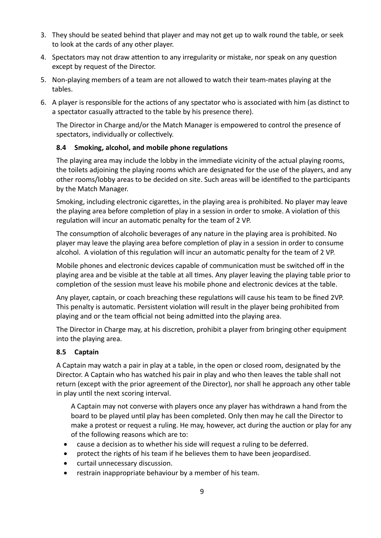- 3. They should be seated behind that player and may not get up to walk round the table, or seek to look at the cards of any other player.
- 4. Spectators may not draw attention to any irregularity or mistake, nor speak on any question except by request of the Director.
- 5. Non-playing members of a team are not allowed to watch their team-mates playing at the tables.
- 6. A player is responsible for the actions of any spectator who is associated with him (as distinct to a spectator casually attracted to the table by his presence there).

The Director in Charge and/or the Match Manager is empowered to control the presence of spectators, individually or collectively.

## **8.4 Smoking, alcohol, and mobile phone regulations**

The playing area may include the lobby in the immediate vicinity of the actual playing rooms, the toilets adjoining the playing rooms which are designated for the use of the players, and any other rooms/lobby areas to be decided on site. Such areas will be identified to the participants by the Match Manager.

Smoking, including electronic cigarettes, in the playing area is prohibited. No player may leave the playing area before completion of play in a session in order to smoke. A violation of this regulation will incur an automatic penalty for the team of 2 VP.

The consumption of alcoholic beverages of any nature in the playing area is prohibited. No player may leave the playing area before completion of play in a session in order to consume alcohol. A violation of this regulation will incur an automatic penalty for the team of 2 VP.

Mobile phones and electronic devices capable of communication must be switched off in the playing area and be visible at the table at all times. Any player leaving the playing table prior to completion of the session must leave his mobile phone and electronic devices at the table.

Any player, captain, or coach breaching these regulations will cause his team to be fined 2VP. This penalty is automatic. Persistent violation will result in the player being prohibited from playing and or the team official not being admitted into the playing area.

The Director in Charge may, at his discretion, prohibit a player from bringing other equipment into the playing area.

## **8.5 Captain**

A Captain may watch a pair in play at a table, in the open or closed room, designated by the Director. A Captain who has watched his pair in play and who then leaves the table shall not return (except with the prior agreement of the Director), nor shall he approach any other table in play until the next scoring interval.

A Captain may not converse with players once any player has withdrawn a hand from the board to be played until play has been completed. Only then may he call the Director to make a protest or request a ruling. He may, however, act during the auction or play for any of the following reasons which are to:

- cause a decision as to whether his side will request a ruling to be deferred.
- protect the rights of his team if he believes them to have been jeopardised.
- curtail unnecessary discussion.
- restrain inappropriate behaviour by a member of his team.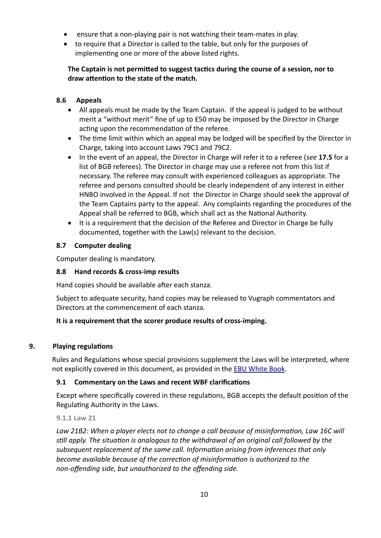- ensure that a non-playing pair is not watching their team-mates in play.
- to require that a Director is called to the table, but only for the purposes of implementing one or more of the above listed rights.

# **The Captain is not permitted to suggest tactics during the course of a session, nor to draw attention to the state of the match.**

# **8.6 Appeals**

- All appeals must be made by the Team Captain. If the appeal is judged to be without merit a "without merit" fine of up to £50 may be imposed by the Director in Charge acting upon the recommendation of the referee.
- The time limit within which an appeal may be lodged will be specified by the Director in Charge, taking into account Laws 79C1 and 79C2.
- In the event of an appeal, the Director in Charge will refer it to a referee (*see* **17.5** for a list of BGB referees). The Director in charge may use a referee not from this list if necessary. The referee may consult with experienced colleagues as appropriate. The referee and persons consulted should be clearly independent of any interest in either HNBO involved in the Appeal. If not the Director in Charge should seek the approval of the Team Captains party to the appeal. Any complaints regarding the procedures of the Appeal shall be referred to BGB, which shall act as the National Authority.
- It is a requirement that the decision of the Referee and Director in Charge be fully documented, together with the Law(s) relevant to the decision.

## **8.7 Computer dealing**

Computer dealing is mandatory.

## **8.8 Hand records & cross-imp results**

Hand copies should be available after each stanza.

Subject to adequate security, hand copies may be released to Vugraph commentators and Directors at the commencement of each stanza.

## **It is a requirement that the scorer produce results of cross-imping.**

## **9. Playing regulations**

Rules and Regulations whose special provisions supplement the Laws will be interpreted, where not explicitly covered in this document, as provided in the [EBU White Book](http://www.ebu.co.uk/laws-and-ethics/white-book).

## **9.1 Commentary on the Laws and recent WBF clarifications**

Except where specifically covered in these regulations, BGB accepts the default position of the Regulating Authority in the Laws.

## **9.1.1 Law 21**

*Law 21B2: When a player elects not to change a call because of misinformation, Law 16C will still apply. The situation is analogous to the withdrawal of an original call followed by the subsequent replacement of the same call. Information arising from inferences that only become available because of the correction of misinformation is authorized to the non-offending side, but unauthorized to the offending side.*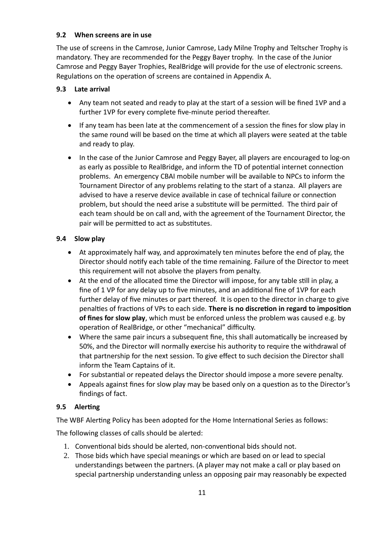## **9.2 When screens are in use**

The use of screens in the Camrose, Junior Camrose, Lady Milne Trophy and Teltscher Trophy is mandatory. They are recommended for the Peggy Bayer trophy. In the case of the Junior Camrose and Peggy Bayer Trophies, RealBridge will provide for the use of electronic screens. Regulations on the operation of screens are contained in Appendix A.

## **9.3 Late arrival**

- Any team not seated and ready to play at the start of a session will be fined 1VP and a further 1VP for every complete five-minute period thereafter.
- If any team has been late at the commencement of a session the fines for slow play in the same round will be based on the time at which all players were seated at the table and ready to play.
- In the case of the Junior Camrose and Peggy Bayer, all players are encouraged to log-on as early as possible to RealBridge, and inform the TD of potential internet connection problems. An emergency CBAI mobile number will be available to NPCs to inform the Tournament Director of any problems relating to the start of a stanza. All players are advised to have a reserve device available in case of technical failure or connection problem, but should the need arise a substitute will be permitted. The third pair of each team should be on call and, with the agreement of the Tournament Director, the pair will be permitted to act as substitutes.

# **9.4 Slow play**

- At approximately half way, and approximately ten minutes before the end of play, the Director should notify each table of the time remaining. Failure of the Director to meet this requirement will not absolve the players from penalty.
- At the end of the allocated time the Director will impose, for any table still in play, a fine of 1 VP for any delay up to five minutes, and an additional fine of 1VP for each further delay of five minutes or part thereof. It is open to the director in charge to give penalties of fractions of VPs to each side. **There is no discretion in regard to imposition of fines for slow play**, which must be enforced unless the problem was caused e.g. by operation of RealBridge, or other "mechanical" difficulty.
- Where the same pair incurs a subsequent fine, this shall automatically be increased by 50%, and the Director will normally exercise his authority to require the withdrawal of that partnership for the next session. To give effect to such decision the Director shall inform the Team Captains of it.
- For substantial or repeated delays the Director should impose a more severe penalty.
- Appeals against fines for slow play may be based only on a question as to the Director's findings of fact.

# **9.5 Alerting**

The WBF Alerting Policy has been adopted for the Home International Series as follows:

The following classes of calls should be alerted:

- 1. Conventional bids should be alerted, non-conventional bids should not.
- 2. Those bids which have special meanings or which are based on or lead to special understandings between the partners. (A player may not make a call or play based on special partnership understanding unless an opposing pair may reasonably be expected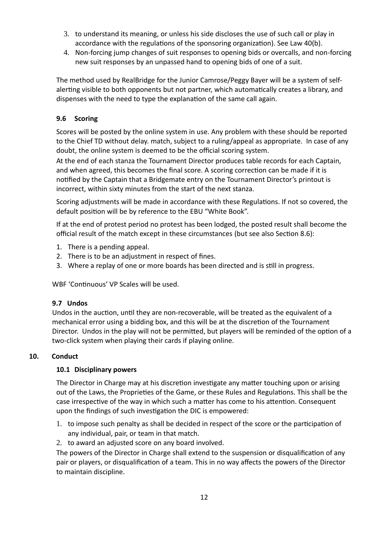- 3. to understand its meaning, or unless his side discloses the use of such call or play in accordance with the regulations of the sponsoring organization). See Law 40(b).
- 4. Non-forcing jump changes of suit responses to opening bids or overcalls, and non-forcing new suit responses by an unpassed hand to opening bids of one of a suit.

The method used by RealBridge for the Junior Camrose/Peggy Bayer will be a system of selfalerting visible to both opponents but not partner, which automatically creates a library, and dispenses with the need to type the explanation of the same call again.

# **9.6 Scoring**

Scores will be posted by the online system in use. Any problem with these should be reported to the Chief TD without delay. match, subject to a ruling/appeal as appropriate. In case of any doubt, the online system is deemed to be the official scoring system.

At the end of each stanza the Tournament Director produces table records for each Captain, and when agreed, this becomes the final score. A scoring correction can be made if it is notified by the Captain that a Bridgemate entry on the Tournament Director's printout is incorrect, within sixty minutes from the start of the next stanza.

Scoring adjustments will be made in accordance with these Regulations. If not so covered, the default position will be by reference to the EBU "White Book".

If at the end of protest period no protest has been lodged, the posted result shall become the official result of the match except in these circumstances (but see also Section 8.6):

- 1. There is a pending appeal.
- 2. There is to be an adjustment in respect of fines.
- 3. Where a replay of one or more boards has been directed and is still in progress.

WBF 'Continuous' VP Scales will be used.

## **9.7 Undos**

Undos in the auction, until they are non-recoverable, will be treated as the equivalent of a mechanical error using a bidding box, and this will be at the discretion of the Tournament Director. Undos in the play will not be permitted, but players will be reminded of the option of a two-click system when playing their cards if playing online.

## **10. Conduct**

## **10.1 Disciplinary powers**

The Director in Charge may at his discretion investigate any matter touching upon or arising out of the Laws, the Proprieties of the Game, or these Rules and Regulations. This shall be the case irrespective of the way in which such a matter has come to his attention. Consequent upon the findings of such investigation the DIC is empowered:

- 1. to impose such penalty as shall be decided in respect of the score or the participation of any individual, pair, or team in that match.
- 2. to award an adjusted score on any board involved.

The powers of the Director in Charge shall extend to the suspension or disqualification of any pair or players, or disqualification of a team. This in no way affects the powers of the Director to maintain discipline.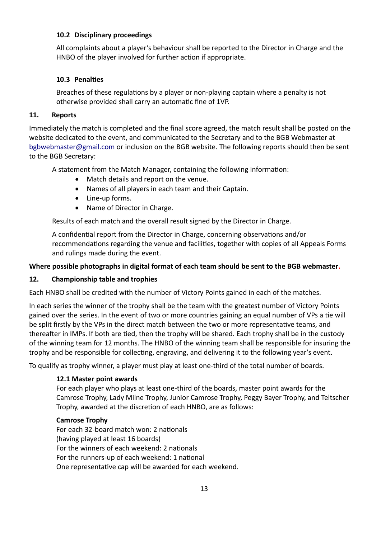#### **10.2 Disciplinary proceedings**

All complaints about a player's behaviour shall be reported to the Director in Charge and the HNBO of the player involved for further action if appropriate.

## **10.3 Penalties**

Breaches of these regulations by a player or non-playing captain where a penalty is not otherwise provided shall carry an automatic fine of 1VP.

## **11. Reports**

Immediately the match is completed and the final score agreed, the match result shall be posted on the website dedicated to the event, and communicated to the Secretary and to the BGB Webmaster at [bgbwebmaster@gmail.com](mailto:bgbwebmaster@gmail.com) or inclusion on the BGB website. The following reports should then be sent to the BGB Secretary:

A statement from the Match Manager, containing the following information:

- Match details and report on the venue.
- Names of all players in each team and their Captain.
- Line-up forms.
- Name of Director in Charge.

Results of each match and the overall result signed by the Director in Charge.

A confidential report from the Director in Charge, concerning observations and/or recommendations regarding the venue and facilities, together with copies of all Appeals Forms and rulings made during the event.

## **Where possible photographs in digital format of each team should be sent to the BGB webmaster.**

## **12. Championship table and trophies**

Each HNBO shall be credited with the number of Victory Points gained in each of the matches.

In each series the winner of the trophy shall be the team with the greatest number of Victory Points gained over the series. In the event of two or more countries gaining an equal number of VPs a tie will be split firstly by the VPs in the direct match between the two or more representative teams, and thereafter in IMPs. If both are tied, then the trophy will be shared. Each trophy shall be in the custody of the winning team for 12 months. The HNBO of the winning team shall be responsible for insuring the trophy and be responsible for collecting, engraving, and delivering it to the following year's event.

To qualify as trophy winner, a player must play at least one-third of the total number of boards.

## **12.1 Master point awards**

For each player who plays at least one-third of the boards, master point awards for the Camrose Trophy, Lady Milne Trophy, Junior Camrose Trophy, Peggy Bayer Trophy, and Teltscher Trophy, awarded at the discretion of each HNBO, are as follows:

## **Camrose Trophy**

For each 32-board match won: 2 nationals (having played at least 16 boards) For the winners of each weekend: 2 nationals For the runners-up of each weekend: 1 national One representative cap will be awarded for each weekend.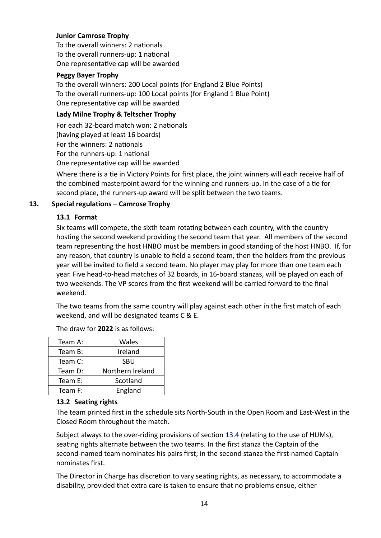#### **Junior Camrose Trophy**

To the overall winners: 2 nationals To the overall runners-up: 1 national One representative cap will be awarded

#### **Peggy Bayer Trophy**

To the overall winners: 200 Local points (for England 2 Blue Points) To the overall runners-up: 100 Local points (for England 1 Blue Point) One representative cap will be awarded

#### **Lady Milne Trophy & Teltscher Trophy**

For each 32-board match won: 2 nationals (having played at least 16 boards) For the winners: 2 nationals For the runners-up: 1 national One representative cap will be awarded

Where there is a tie in Victory Points for first place, the joint winners will each receive half of the combined masterpoint award for the winning and runners-up. In the case of a tie for second place, the runners-up award will be split between the two teams.

## **13. Special regulations – Camrose Trophy**

#### **13.1 Format**

Six teams will compete, the sixth team rotating between each country, with the country hosting the second weekend providing the second team that year. All members of the second team representing the host HNBO must be members in good standing of the host HNBO. If, for any reason, that country is unable to field a second team, then the holders from the previous year will be invited to field a second team. No player may play for more than one team each year. Five head-to-head matches of 32 boards, in 16-board stanzas, will be played on each of two weekends. The VP scores from the first weekend will be carried forward to the final weekend.

The two teams from the same country will play against each other in the first match of each weekend, and will be designated teams C & E.

| Team A: | Wales            |  |
|---------|------------------|--|
| Team B: | Ireland          |  |
| Team C: | <b>SBU</b>       |  |
| Team D: | Northern Ireland |  |
| Team E: | Scotland         |  |
| Team F: | England          |  |

The draw for **2022** is as follows:

## **13.2 Seating rights**

The team printed first in the schedule sits North-South in the Open Room and East-West in the Closed Room throughout the match.

Subject always to the over-riding provisions of section 13.4 (relating to the use of HUMs), seating rights alternate between the two teams. In the first stanza the Captain of the second-named team nominates his pairs first; in the second stanza the first-named Captain nominates first.

The Director in Charge has discretion to vary seating rights, as necessary, to accommodate a disability, provided that extra care is taken to ensure that no problems ensue, either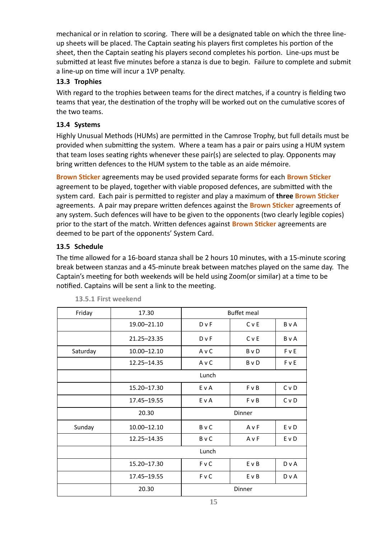mechanical or in relation to scoring. There will be a designated table on which the three lineup sheets will be placed. The Captain seating his players first completes his portion of the sheet, then the Captain seating his players second completes his portion. Line-ups must be submitted at least five minutes before a stanza is due to begin. Failure to complete and submit a line-up on time will incur a 1VP penalty.

# **13.3 Trophies**

With regard to the trophies between teams for the direct matches, if a country is fielding two teams that year, the destination of the trophy will be worked out on the cumulative scores of the two teams.

# **13.4 Systems**

Highly Unusual Methods (HUMs) are permitted in the Camrose Trophy, but full details must be provided when submitting the system. Where a team has a pair or pairs using a HUM system that team loses seating rights whenever these pair(s) are selected to play. Opponents may bring written defences to the HUM system to the table as an aide mémoire.

**Brown Sticker** agreements may be used provided separate forms for each **Brown Sticker** agreement to be played, together with viable proposed defences, are submitted with the system card. Each pair is permitted to register and play a maximum of **three Brown Sticker** agreements. A pair may prepare written defences against the **Brown Sticker** agreements of any system. Such defences will have to be given to the opponents (two clearly legible copies) prior to the start of the match. Written defences against **Brown Sticker** agreements are deemed to be part of the opponents' System Card.

# **13.5 Schedule**

The time allowed for a 16-board stanza shall be 2 hours 10 minutes, with a 15-minute scoring break between stanzas and a 45-minute break between matches played on the same day. The Captain's meeting for both weekends will be held using Zoom(or similar) at a time to be notified. Captains will be sent a link to the meeting.

| Friday   | 17.30       | <b>Buffet meal</b> |            |              |
|----------|-------------|--------------------|------------|--------------|
|          | 19.00-21.10 | $D \vee F$         | CvE        | <b>B</b> v A |
|          | 21.25-23.35 | <b>D</b> v F       | C v E      | <b>B</b> v A |
| Saturday | 10.00-12.10 | AvC                | B v D      | FvE          |
|          | 12.25-14.35 | AvC                | B v D      | FvE          |
|          |             | Lunch              |            |              |
|          | 15.20-17.30 | E v A              | F v B      | CvD          |
|          | 17.45-19.55 | E v A              | $F \vee B$ | C v D        |
|          | 20.30       |                    | Dinner     |              |
| Sunday   | 10.00-12.10 | <b>B</b> v C       | AvF        | EvD          |
|          | 12.25-14.35 | <b>B</b> v C       | AvF        | E v D        |
|          |             | Lunch              |            |              |
|          | 15.20-17.30 | F v C              | E v B      | D v A        |
|          | 17.45-19.55 | F v C              | E v B      | DvA          |
|          | 20.30       |                    | Dinner     |              |

#### **13.5.1 First weekend**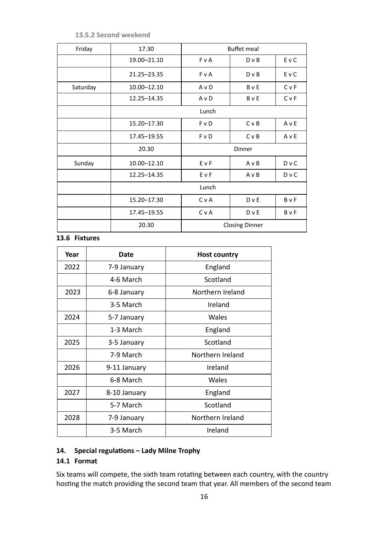**13.5.2 Second weekend**

| Friday   | 17.30         | <b>Buffet meal</b>    |              |              |
|----------|---------------|-----------------------|--------------|--------------|
|          | 19.00-21.10   | F v A                 | $D \vee B$   | E v C        |
|          | 21.25 - 23.35 | <b>F</b> v A          | $D \vee B$   | E v C        |
| Saturday | 10.00-12.10   | AvD                   | <b>B</b> v E | CvF          |
|          | 12.25-14.35   | AvD                   | <b>B</b> v E | CvF          |
|          |               | Lunch                 |              |              |
|          | 15.20-17.30   | <b>F</b> v D          | C v B        | AvE          |
|          | 17.45-19.55   | F v D                 | C v B        | AvE          |
|          | 20.30         | Dinner                |              |              |
| Sunday   | 10.00-12.10   | EvF                   | $A \vee B$   | D v C        |
|          | 12.25-14.35   | EvF                   | $A \vee B$   | D v C        |
|          | Lunch         |                       |              |              |
|          | 15.20-17.30   | CvA                   | D v E        | <b>B</b> v F |
|          | 17.45-19.55   | C v A                 | D v E        | <b>B</b> v F |
|          | 20.30         | <b>Closing Dinner</b> |              |              |

# **13.6 Fixtures**

| Year | <b>Date</b>  | <b>Host country</b> |  |
|------|--------------|---------------------|--|
| 2022 | 7-9 January  | England             |  |
|      | 4-6 March    | Scotland            |  |
| 2023 | 6-8 January  | Northern Ireland    |  |
|      | 3-5 March    | Ireland             |  |
| 2024 | 5-7 January  | Wales               |  |
|      | 1-3 March    | England             |  |
| 2025 | 3-5 January  | Scotland            |  |
|      | 7-9 March    | Northern Ireland    |  |
| 2026 | 9-11 January | Ireland             |  |
|      | 6-8 March    | Wales               |  |
| 2027 | 8-10 January | England             |  |
|      | 5-7 March    | Scotland            |  |
| 2028 | 7-9 January  | Northern Ireland    |  |
|      | 3-5 March    | Ireland             |  |

# **14. Special regulations – Lady Milne Trophy**

## **14.1 Format**

Six teams will compete, the sixth team rotating between each country, with the country hosting the match providing the second team that year. All members of the second team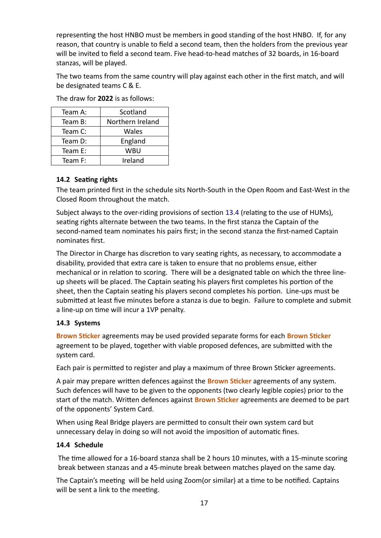representing the host HNBO must be members in good standing of the host HNBO. If, for any reason, that country is unable to field a second team, then the holders from the previous year will be invited to field a second team. Five head-to-head matches of 32 boards, in 16-board stanzas, will be played.

The two teams from the same country will play against each other in the first match, and will be designated teams C & E.

The draw for **2022** is as follows:

| Team A: | Scotland         |  |
|---------|------------------|--|
| Team B: | Northern Ireland |  |
| Team C: | Wales            |  |
| Team D: | England          |  |
| Team E: | WBU              |  |
| Team F: | Ireland          |  |

# **14.2 Seating rights**

The team printed first in the schedule sits North-South in the Open Room and East-West in the Closed Room throughout the match.

Subject always to the over-riding provisions of section 13.4 (relating to the use of HUMs), seating rights alternate between the two teams. In the first stanza the Captain of the second-named team nominates his pairs first; in the second stanza the first-named Captain nominates first.

The Director in Charge has discretion to vary seating rights, as necessary, to accommodate a disability, provided that extra care is taken to ensure that no problems ensue, either mechanical or in relation to scoring. There will be a designated table on which the three lineup sheets will be placed. The Captain seating his players first completes his portion of the sheet, then the Captain seating his players second completes his portion. Line-ups must be submitted at least five minutes before a stanza is due to begin. Failure to complete and submit a line-up on time will incur a 1VP penalty.

## **14.3 Systems**

**Brown Sticker** agreements may be used provided separate forms for each **Brown Sticker** agreement to be played, together with viable proposed defences, are submitted with the system card.

Each pair is permitted to register and play a maximum of three Brown Sticker agreements.

A pair may prepare written defences against the **Brown Sticker** agreements of any system. Such defences will have to be given to the opponents (two clearly legible copies) prior to the start of the match. Written defences against **Brown Sticker** agreements are deemed to be part of the opponents' System Card.

When using Real Bridge players are permitted to consult their own system card but unnecessary delay in doing so will not avoid the imposition of automatic fines.

## **14.4 Schedule**

The time allowed for a 16-board stanza shall be 2 hours 10 minutes, with a 15-minute scoring break between stanzas and a 45-minute break between matches played on the same day.

The Captain's meeting will be held using Zoom(or similar) at a time to be notified. Captains will be sent a link to the meeting.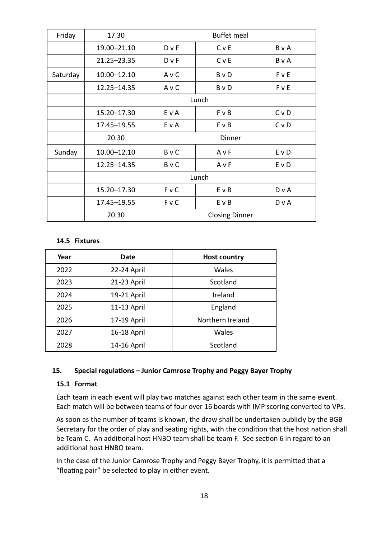| Friday   | 17.30         | <b>Buffet meal</b>    |              |                |
|----------|---------------|-----------------------|--------------|----------------|
|          | 19.00-21.10   | D v F                 | CvE          | BvA            |
|          | 21.25 - 23.35 | $D \vee F$            | <b>C</b> v E | BvA            |
| Saturday | 10.00-12.10   | AvC                   | <b>B</b> v D | FvE            |
|          | 12.25-14.35   | AvC                   | <b>B</b> v D | FvE            |
|          |               | Lunch                 |              |                |
|          | 15.20 - 17.30 | E v A                 | F v B        | C <sub>v</sub> |
|          | 17.45-19.55   | E v A                 | F v B        | C <sub>v</sub> |
|          | 20.30         | Dinner                |              |                |
| Sunday   | 10.00-12.10   | <b>B</b> v C          | AvF          | E v D          |
|          | 12.25-14.35   | <b>B</b> vC           | AvF          | E v D          |
|          |               | Lunch                 |              |                |
|          | 15.20-17.30   | <b>FvC</b>            | E v B        | D v A          |
|          | 17.45-19.55   | F v C                 | E v B        | D v A          |
|          | 20.30         | <b>Closing Dinner</b> |              |                |

#### **14.5 Fixtures**

| Year | Date        | <b>Host country</b> |  |
|------|-------------|---------------------|--|
| 2022 | 22-24 April | Wales               |  |
| 2023 | 21-23 April | Scotland            |  |
| 2024 | 19-21 April | Ireland             |  |
| 2025 | 11-13 April | England             |  |
| 2026 | 17-19 April | Northern Ireland    |  |
| 2027 | 16-18 April | Wales               |  |
| 2028 | 14-16 April | Scotland            |  |

#### **15. Special regulations – Junior Camrose Trophy and Peggy Bayer Trophy**

#### **15.1 Format**

Each team in each event will play two matches against each other team in the same event. Each match will be between teams of four over 16 boards with IMP scoring converted to VPs.

As soon as the number of teams is known, the draw shall be undertaken publicly by the BGB Secretary for the order of play and seating rights, with the condition that the host nation shall be Team C. An additional host HNBO team shall be team F. See section 6 in regard to an additional host HNBO team.

In the case of the Junior Camrose Trophy and Peggy Bayer Trophy, it is permitted that a "floating pair" be selected to play in either event.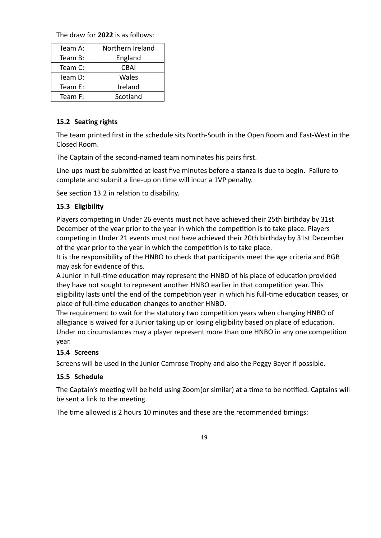The draw for **2022** is as follows:

| Team A:            | Northern Ireland |  |
|--------------------|------------------|--|
| England<br>Team B: |                  |  |
| Team C:            | CBAI             |  |
| Team D:            | Wales            |  |
| Team E:            | Ireland          |  |
| Team F:            | Scotland         |  |

#### **15.2 Seating rights**

The team printed first in the schedule sits North-South in the Open Room and East-West in the Closed Room.

The Captain of the second-named team nominates his pairs first.

Line-ups must be submitted at least five minutes before a stanza is due to begin. Failure to complete and submit a line-up on time will incur a 1VP penalty.

See section 13.2 in relation to disability.

## **15.3 Eligibility**

Players competing in Under 26 events must not have achieved their 25th birthday by 31st December of the year prior to the year in which the competition is to take place. Players competing in Under 21 events must not have achieved their 20th birthday by 31st December of the year prior to the year in which the competition is to take place.

It is the responsibility of the HNBO to check that participants meet the age criteria and BGB may ask for evidence of this.

A Junior in full-time education may represent the HNBO of his place of education provided they have not sought to represent another HNBO earlier in that competition year. This eligibility lasts until the end of the competition year in which his full-time education ceases, or place of full-time education changes to another HNBO.

The requirement to wait for the statutory two competition years when changing HNBO of allegiance is waived for a Junior taking up or losing eligibility based on place of education. Under no circumstances may a player represent more than one HNBO in any one competition year.

## **15.4 Screens**

Screens will be used in the Junior Camrose Trophy and also the Peggy Bayer if possible.

## **15.5 Schedule**

The Captain's meeting will be held using Zoom(or similar) at a time to be notified. Captains will be sent a link to the meeting.

The time allowed is 2 hours 10 minutes and these are the recommended timings: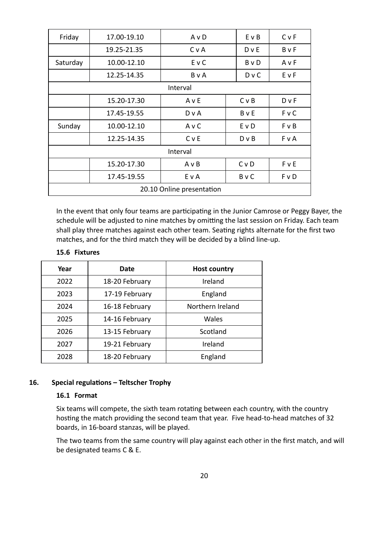| Friday                    | 17.00-19.10 | AvD          | EvB            | CvF          |  |  |  |
|---------------------------|-------------|--------------|----------------|--------------|--|--|--|
|                           | 19.25-21.35 | CvA          | $D$ v E        | BvF          |  |  |  |
| Saturday                  | 10.00-12.10 | E v C        | B v D          | AvF          |  |  |  |
|                           | 12.25-14.35 | <b>B</b> v A | $D \vee C$     | EvF          |  |  |  |
|                           | Interval    |              |                |              |  |  |  |
|                           | 15.20-17.30 | AvE          | C v B          | <b>D</b> v F |  |  |  |
|                           | 17.45-19.55 | DvA          | BvE            | <b>FvC</b>   |  |  |  |
| Sunday                    | 10.00-12.10 | AvC          | EvD            | <b>F</b> v B |  |  |  |
|                           | 12.25-14.35 | C v E        | $D \vee B$     | F v A        |  |  |  |
| Interval                  |             |              |                |              |  |  |  |
|                           | 15.20-17.30 | $A \vee B$   | C <sub>v</sub> | <b>F</b> v E |  |  |  |
|                           | 17.45-19.55 | E v A        | <b>B</b> v C   | F v D        |  |  |  |
| 20.10 Online presentation |             |              |                |              |  |  |  |

In the event that only four teams are participating in the Junior Camrose or Peggy Bayer, the schedule will be adjusted to nine matches by omitting the last session on Friday. Each team shall play three matches against each other team. Seating rights alternate for the first two matches, and for the third match they will be decided by a blind line-up.

#### **15.6 Fixtures**

| Year | Date           | <b>Host country</b> |  |
|------|----------------|---------------------|--|
| 2022 | 18-20 February | Ireland             |  |
| 2023 | 17-19 February | England             |  |
| 2024 | 16-18 February | Northern Ireland    |  |
| 2025 | 14-16 February | Wales               |  |
| 2026 | 13-15 February | Scotland            |  |
| 2027 | 19-21 February | Ireland             |  |
| 2028 | 18-20 February | England             |  |

#### **16. Special regulations – Teltscher Trophy**

#### **16.1 Format**

Six teams will compete, the sixth team rotating between each country, with the country hosting the match providing the second team that year. Five head-to-head matches of 32 boards, in 16-board stanzas, will be played.

The two teams from the same country will play against each other in the first match, and will be designated teams C & E.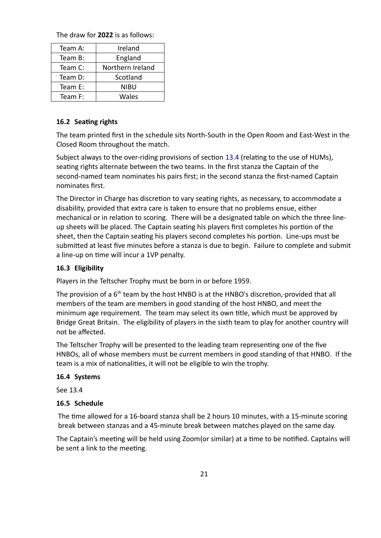The draw for **2022** is as follows:

| Team A: | Ireland          |
|---------|------------------|
| Team B: | England          |
| Team C: | Northern Ireland |
| Team D: | Scotland         |
| Team E: | NIBU             |
| Team F: | Wales            |

#### **16.2 Seating rights**

The team printed first in the schedule sits North-South in the Open Room and East-West in the Closed Room throughout the match.

Subject always to the over-riding provisions of section 13.4 (relating to the use of HUMs), seating rights alternate between the two teams. In the first stanza the Captain of the second-named team nominates his pairs first; in the second stanza the first-named Captain nominates first.

The Director in Charge has discretion to vary seating rights, as necessary, to accommodate a disability, provided that extra care is taken to ensure that no problems ensue, either mechanical or in relation to scoring. There will be a designated table on which the three lineup sheets will be placed. The Captain seating his players first completes his portion of the sheet, then the Captain seating his players second completes his portion. Line-ups must be submitted at least five minutes before a stanza is due to begin. Failure to complete and submit a line-up on time will incur a 1VP penalty.

#### **16.3 Eligibility**

Players in the Teltscher Trophy must be born in or before 1959.

The provision of a  $6<sup>th</sup>$  team by the host HNBO is at the HNBO's discretion, provided that all members of the team are members in good standing of the host HNBO, and meet the minimum age requirement. The team may select its own title, which must be approved by Bridge Great Britain. The eligibility of players in the sixth team to play for another country will not be affected.

The Teltscher Trophy will be presented to the leading team representing one of the five HNBOs, all of whose members must be current members in good standing of that HNBO. If the team is a mix of nationalities, it will not be eligible to win the trophy.

#### **16.4 Systems**

See 13.4

#### **16.5 Schedule**

The time allowed for a 16-board stanza shall be 2 hours 10 minutes, with a 15-minute scoring break between stanzas and a 45-minute break between matches played on the same day.

The Captain's meeting will be held using Zoom(or similar) at a time to be notified. Captains will be sent a link to the meeting.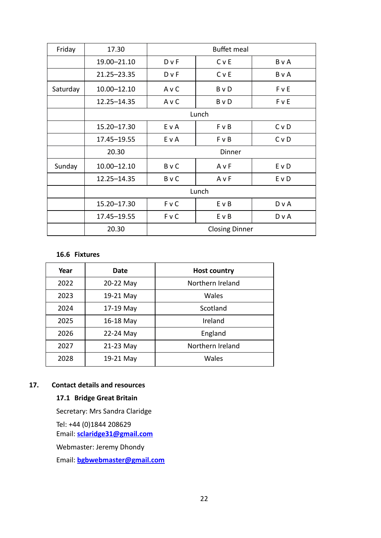| Friday   | 17.30         | <b>Buffet meal</b>    |              |       |
|----------|---------------|-----------------------|--------------|-------|
|          | 19.00-21.10   | D v F                 | C v E        | BvA   |
|          | 21.25-23.35   | $D \vee F$            | C v E        | B v A |
| Saturday | 10.00-12.10   | AvC                   | <b>B</b> v D | FvE   |
|          | 12.25-14.35   | AvC                   | B v D        | FvE   |
|          | Lunch         |                       |              |       |
|          | 15.20 - 17.30 | E v A                 | $F \vee B$   | C v D |
|          | 17.45-19.55   | E v A                 | F v B        | CvD   |
|          | 20.30         | Dinner                |              |       |
| Sunday   | 10.00-12.10   | <b>B</b> v C          | A v F        | E v D |
|          | 12.25-14.35   | <b>B</b> v C          | AvF          | E v D |
|          | Lunch         |                       |              |       |
|          | 15.20-17.30   | <b>FvC</b>            | EvB          | D v A |
|          | 17.45-19.55   | <b>FvC</b>            | E v B        | D v A |
|          | 20.30         | <b>Closing Dinner</b> |              |       |

#### **16.6 Fixtures**

| Year | Date      | <b>Host country</b> |
|------|-----------|---------------------|
| 2022 | 20-22 May | Northern Ireland    |
| 2023 | 19-21 May | Wales               |
| 2024 | 17-19 May | Scotland            |
| 2025 | 16-18 May | Ireland             |
| 2026 | 22-24 May | England             |
| 2027 | 21-23 May | Northern Ireland    |
| 2028 | 19-21 May | Wales               |

## **17. Contact details and resources**

# **17.1 Bridge Great Britain**

Secretary: Mrs Sandra Claridge

Tel: +44 (0)1844 208629

Email: **[s claridge31@gmail.com](mailto:claridge31@tiscali.co.uk)**

Webmaster: Jeremy Dhondy

Email: **[bgbwebmaster@gmail.com](mailto:bgbwebmaster@btinternet.com)**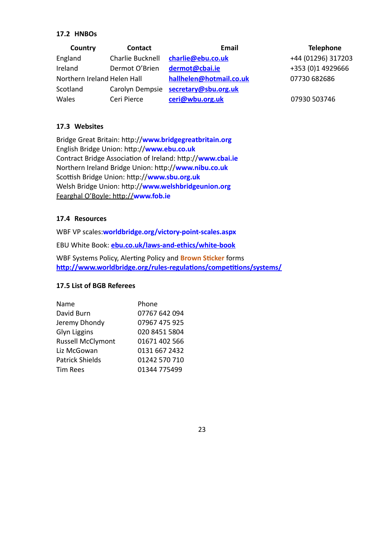#### **17.2 HNBOs**

| Country                     | <b>Contact</b>   | <b>Email</b>                         | <b>Telephone</b>   |
|-----------------------------|------------------|--------------------------------------|--------------------|
| England                     | Charlie Bucknell | charlie@ebu.co.uk                    | +44 (01296) 317203 |
| Ireland                     | Dermot O'Brien   | dermot@cbai.ie                       | +353 (0)1 4929666  |
| Northern Ireland Helen Hall |                  | hallhelen@hotmail.co.uk              | 07730 682686       |
| Scotland                    |                  | Carolyn Dempsie secretary@sbu.org.uk |                    |
| Wales                       | Ceri Pierce      | ceri@wbu.org.uk                      | 07930 503746       |

#### **17.3 Websites**

Bridge Great Britain: http://**www.bridge[greatbritain.org](http://www.bridgegreatbritain.org/)** English Bridge Union: http://**www[.ebu.co.uk](http://www.ebu.co.uk/)** Contract Bridge Association of Ireland: http://**www[.cbai.ie](http://www.cbai.ie/)** Northern Ireland Bridge Union: http://**www.[nibu.co.uk](http://www.nibu.co.uk/)** Scottish Bridge Union: http://**www[.sbu.org.uk](http://www.sbu.org.uk/)** Welsh Bridge Union: http://**www.welshbridgeunion.org** Fearghal O'Boyle: http://**www.fob.ie**

#### **17.4 Resources**

WBF VP scales:**worldbridge.org/victory-point-scales.aspx**

EBU White Book: **[ebu.co.uk/laws-and-ethics/white-book](http://ebu.co.uk/laws-and-ethics/white-book)**

WBF Systems Policy, Alerting Policy and **Brown Sticker** forms **<http://www.worldbridge.org/rules-regulations/competitions/systems/>**

#### **17.5 List of BGB Referees**

| Name                     | Phone         |
|--------------------------|---------------|
| David Burn               | 07767 642 094 |
| Jeremy Dhondy            | 07967 475 925 |
| Glyn Liggins             | 020 8451 5804 |
| <b>Russell McClymont</b> | 01671 402 566 |
| Liz McGowan              | 0131 667 2432 |
| <b>Patrick Shields</b>   | 01242 570 710 |
| <b>Tim Rees</b>          | 01344 775499  |

#### 23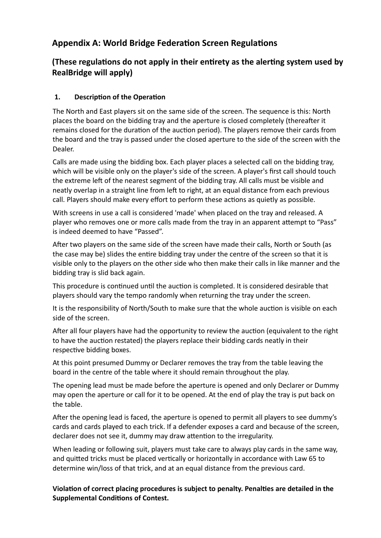# **Appendix A: World Bridge Federation Screen Regulations**

# **(These regulations do not apply in their entirety as the alerting system used by RealBridge will apply)**

# **1. Description of the Operation**

The North and East players sit on the same side of the screen. The sequence is this: North places the board on the bidding tray and the aperture is closed completely (thereafter it remains closed for the duration of the auction period). The players remove their cards from the board and the tray is passed under the closed aperture to the side of the screen with the Dealer.

Calls are made using the bidding box. Each player places a selected call on the bidding tray, which will be visible only on the player's side of the screen. A player's first call should touch the extreme left of the nearest segment of the bidding tray. All calls must be visible and neatly overlap in a straight line from left to right, at an equal distance from each previous call. Players should make every effort to perform these actions as quietly as possible.

With screens in use a call is considered 'made' when placed on the tray and released. A player who removes one or more calls made from the tray in an apparent attempt to "Pass" is indeed deemed to have "Passed".

After two players on the same side of the screen have made their calls, North or South (as the case may be) slides the entire bidding tray under the centre of the screen so that it is visible only to the players on the other side who then make their calls in like manner and the bidding tray is slid back again.

This procedure is continued until the auction is completed. It is considered desirable that players should vary the tempo randomly when returning the tray under the screen.

It is the responsibility of North/South to make sure that the whole auction is visible on each side of the screen.

After all four players have had the opportunity to review the auction (equivalent to the right to have the auction restated) the players replace their bidding cards neatly in their respective bidding boxes.

At this point presumed Dummy or Declarer removes the tray from the table leaving the board in the centre of the table where it should remain throughout the play.

The opening lead must be made before the aperture is opened and only Declarer or Dummy may open the aperture or call for it to be opened. At the end of play the tray is put back on the table.

After the opening lead is faced, the aperture is opened to permit all players to see dummy's cards and cards played to each trick. If a defender exposes a card and because of the screen, declarer does not see it, dummy may draw attention to the irregularity.

When leading or following suit, players must take care to always play cards in the same way, and quitted tricks must be placed vertically or horizontally in accordance with Law 65 to determine win/loss of that trick, and at an equal distance from the previous card.

**Violation of correct placing procedures is subject to penalty. Penalties are detailed in the Supplemental Conditions of Contest.**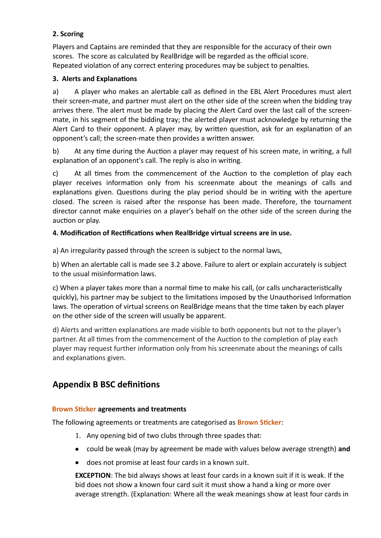# **2. Scoring**

Players and Captains are reminded that they are responsible for the accuracy of their own scores. The score as calculated by RealBridge will be regarded as the official score. Repeated violation of any correct entering procedures may be subject to penalties.

## **3. Alerts and Explanations**

a) A player who makes an alertable call as defined in the EBL Alert Procedures must alert their screen-mate, and partner must alert on the other side of the screen when the bidding tray arrives there. The alert must be made by placing the Alert Card over the last call of the screenmate, in his segment of the bidding tray; the alerted player must acknowledge by returning the Alert Card to their opponent. A player may, by written question, ask for an explanation of an opponent's call; the screen-mate then provides a written answer.

b) At any time during the Auction a player may request of his screen mate, in writing, a full explanation of an opponent's call. The reply is also in writing.

c) At all times from the commencement of the Auction to the completion of play each player receives information only from his screenmate about the meanings of calls and explanations given. Questions during the play period should be in writing with the aperture closed. The screen is raised after the response has been made. Therefore, the tournament director cannot make enquiries on a player's behalf on the other side of the screen during the auction or play.

## **4. Modification of Rectifications when RealBridge virtual screens are in use.**

a) An irregularity passed through the screen is subject to the normal laws,

b) When an alertable call is made see 3.2 above. Failure to alert or explain accurately is subject to the usual misinformation laws.

c) When a player takes more than a normal time to make his call, (or calls uncharacteristically quickly), his partner may be subject to the limitations imposed by the Unauthorised Information laws. The operation of virtual screens on RealBridge means that the time taken by each player on the other side of the screen will usually be apparent.

d) Alerts and written explanations are made visible to both opponents but not to the player's partner. At all times from the commencement of the Auction to the completion of play each player may request further information only from his screenmate about the meanings of calls and explanations given.

# **Appendix B BSC definitions**

## **Brown Sticker agreements and treatments**

The following agreements or treatments are categorised as **Brown Sticker**:

- 1. Any opening bid of two clubs through three spades that:
- could be weak (may by agreement be made with values below average strength) **and**
- does not promise at least four cards in a known suit.

**EXCEPTION**: The bid always shows at least four cards in a known suit if it is weak. If the bid does not show a known four card suit it must show a hand a king or more over average strength. (Explanation: Where all the weak meanings show at least four cards in